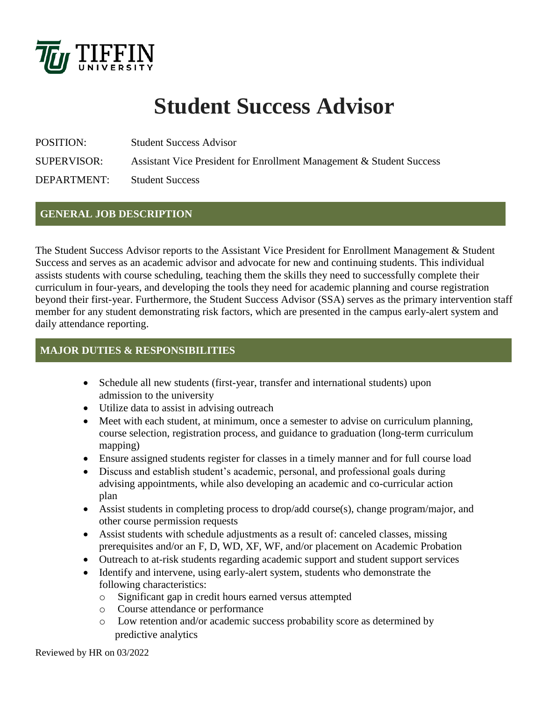

# **Student Success Advisor**

POSITION: Student Success Advisor

SUPERVISOR: Assistant Vice President for Enrollment Management & Student Success

DEPARTMENT: Student Success

# **GENERAL JOB DESCRIPTION**

The Student Success Advisor reports to the Assistant Vice President for Enrollment Management & Student Success and serves as an academic advisor and advocate for new and continuing students. This individual assists students with course scheduling, teaching them the skills they need to successfully complete their curriculum in four-years, and developing the tools they need for academic planning and course registration beyond their first-year. Furthermore, the Student Success Advisor (SSA) serves as the primary intervention staff member for any student demonstrating risk factors, which are presented in the campus early-alert system and daily attendance reporting.

## **MAJOR DUTIES & RESPONSIBILITIES**

- Schedule all new students (first-year, transfer and international students) upon admission to the university
- Utilize data to assist in advising outreach
- Meet with each student, at minimum, once a semester to advise on curriculum planning, course selection, registration process, and guidance to graduation (long-term curriculum mapping)
- Ensure assigned students register for classes in a timely manner and for full course load
- Discuss and establish student's academic, personal, and professional goals during advising appointments, while also developing an academic and co-curricular action plan
- Assist students in completing process to drop/add course(s), change program/major, and other course permission requests
- Assist students with schedule adjustments as a result of: canceled classes, missing prerequisites and/or an F, D, WD, XF, WF, and/or placement on Academic Probation
- Outreach to at-risk students regarding academic support and student support services
- Identify and intervene, using early-alert system, students who demonstrate the following characteristics:
	- o Significant gap in credit hours earned versus attempted
	- o Course attendance or performance
	- o Low retention and/or academic success probability score as determined by predictive analytics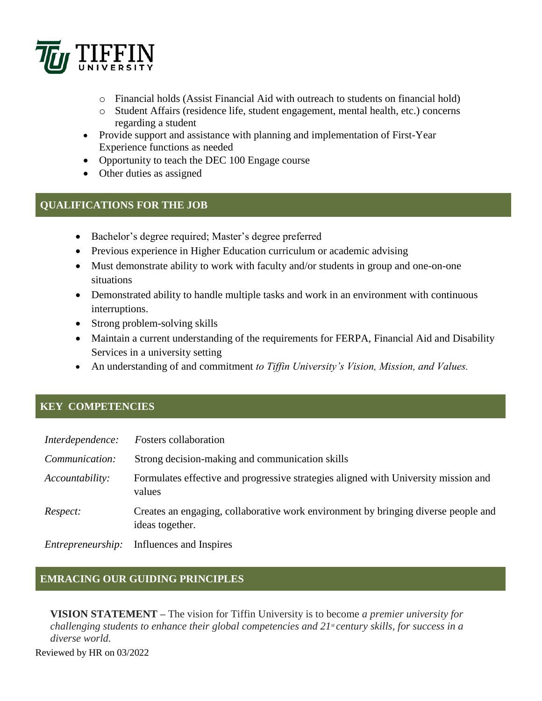

- o Financial holds (Assist Financial Aid with outreach to students on financial hold)
- o Student Affairs (residence life, student engagement, mental health, etc.) concerns regarding a student
- Provide support and assistance with planning and implementation of First-Year Experience functions as needed
- Opportunity to teach the DEC 100 Engage course
- Other duties as assigned

#### **QUALIFICATIONS FOR THE JOB**

- Bachelor's degree required; Master's degree preferred
- Previous experience in Higher Education curriculum or academic advising
- Must demonstrate ability to work with faculty and/or students in group and one-on-one situations
- Demonstrated ability to handle multiple tasks and work in an environment with continuous interruptions.
- Strong problem-solving skills
- Maintain a current understanding of the requirements for FERPA, Financial Aid and Disability Services in a university setting
- An understanding of and commitment *to Tiffin University's Vision, Mission, and Values.*

## **KEY COMPETENCIES**

| Interdependence: | <b>Fosters</b> collaboration                                                                          |
|------------------|-------------------------------------------------------------------------------------------------------|
| Communication:   | Strong decision-making and communication skills                                                       |
| Accountability:  | Formulates effective and progressive strategies aligned with University mission and<br>values         |
| Respect:         | Creates an engaging, collaborative work environment by bringing diverse people and<br>ideas together. |
|                  | <i>Entrepreneurship</i> : Influences and Inspires                                                     |

## **EMRACING OUR GUIDING PRINCIPLES**

**VISION STATEMENT –** The vision for Tiffin University is to become *a premier university for challenging students to enhance their global competencies and 21st century skills, for success in a diverse world.*

Reviewed by HR on 03/2022